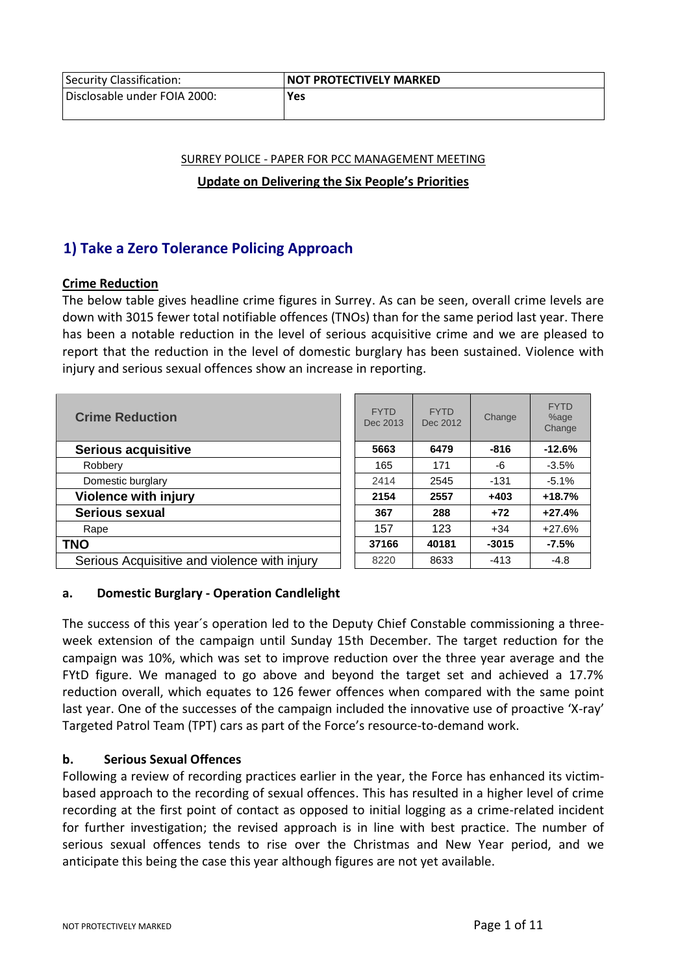| <b>Security Classification:</b> | <b>NOT PROTECTIVELY MARKED</b> |
|---------------------------------|--------------------------------|
| Disclosable under FOIA 2000:    | Yes                            |

# SURREY POLICE - PAPER FOR PCC MANAGEMENT MEETING **Update on Delivering the Six People's Priorities**

# **1) Take a Zero Tolerance Policing Approach**

## **Crime Reduction**

The below table gives headline crime figures in Surrey. As can be seen, overall crime levels are down with 3015 fewer total notifiable offences (TNOs) than for the same period last year. There has been a notable reduction in the level of serious acquisitive crime and we are pleased to report that the reduction in the level of domestic burglary has been sustained. Violence with injury and serious sexual offences show an increase in reporting.

| <b>Crime Reduction</b>                       | <b>FYTD</b><br>Dec 2013 | <b>FYTD</b><br>Dec 2012 | Change  | <b>FYTD</b><br>%age<br>Change |
|----------------------------------------------|-------------------------|-------------------------|---------|-------------------------------|
| <b>Serious acquisitive</b>                   | 5663                    | 6479                    | $-816$  | $-12.6%$                      |
| Robbery                                      | 165                     | 171                     | -6      | $-3.5%$                       |
| Domestic burglary                            | 2414                    | 2545                    | $-131$  | $-5.1%$                       |
| <b>Violence with injury</b>                  | 2154                    | 2557                    | $+403$  | $+18.7%$                      |
| Serious sexual                               | 367                     | 288                     | $+72$   | $+27.4%$                      |
| Rape                                         | 157                     | 123                     | $+34$   | $+27.6%$                      |
| <b>TNO</b>                                   | 37166                   | 40181                   | $-3015$ | $-7.5%$                       |
| Serious Acquisitive and violence with injury | 8220                    | 8633                    | $-413$  | $-4.8$                        |

## **a. Domestic Burglary - Operation Candlelight**

The success of this year´s operation led to the Deputy Chief Constable commissioning a threeweek extension of the campaign until Sunday 15th December. The target reduction for the campaign was 10%, which was set to improve reduction over the three year average and the FYtD figure. We managed to go above and beyond the target set and achieved a 17.7% reduction overall, which equates to 126 fewer offences when compared with the same point last year. One of the successes of the campaign included the innovative use of proactive 'X-ray' Targeted Patrol Team (TPT) cars as part of the Force's resource-to-demand work.

## **b. Serious Sexual Offences**

Following a review of recording practices earlier in the year, the Force has enhanced its victimbased approach to the recording of sexual offences. This has resulted in a higher level of crime recording at the first point of contact as opposed to initial logging as a crime-related incident for further investigation; the revised approach is in line with best practice. The number of serious sexual offences tends to rise over the Christmas and New Year period, and we anticipate this being the case this year although figures are not yet available.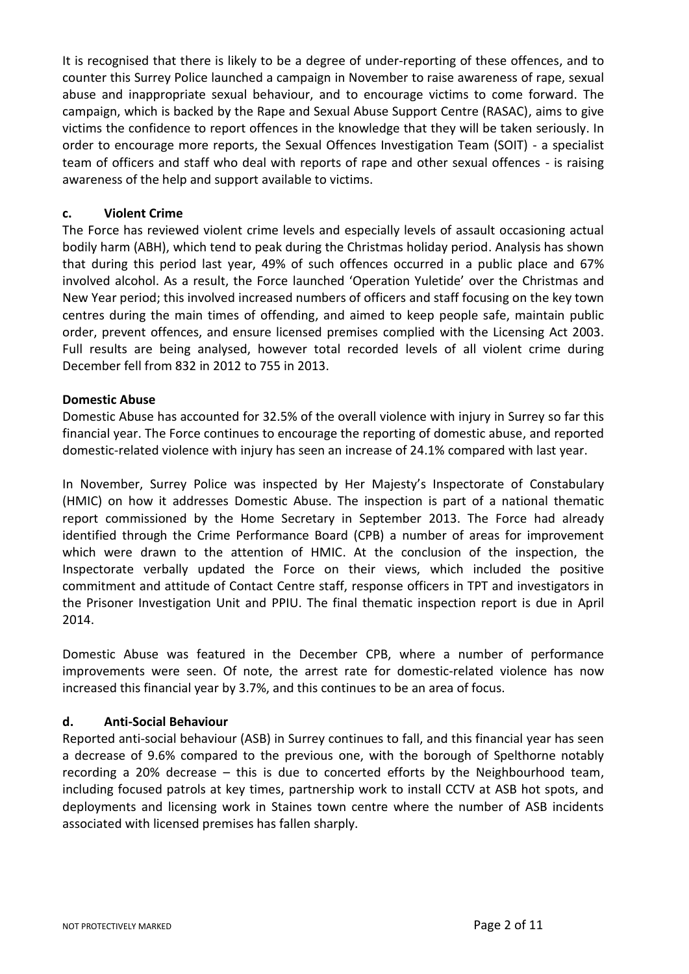It is recognised that there is likely to be a degree of under-reporting of these offences, and to counter this Surrey Police launched a campaign in November to raise awareness of rape, sexual abuse and inappropriate sexual behaviour, and to encourage victims to come forward. The campaign, which is backed by the Rape and Sexual Abuse Support Centre (RASAC), aims to give victims the confidence to report offences in the knowledge that they will be taken seriously. In order to encourage more reports, the Sexual Offences Investigation Team (SOIT) - a specialist team of officers and staff who deal with reports of rape and other sexual offences - is raising awareness of the help and support available to victims.

### **c. Violent Crime**

The Force has reviewed violent crime levels and especially levels of assault occasioning actual bodily harm (ABH), which tend to peak during the Christmas holiday period. Analysis has shown that during this period last year, 49% of such offences occurred in a public place and 67% involved alcohol. As a result, the Force launched 'Operation Yuletide' over the Christmas and New Year period; this involved increased numbers of officers and staff focusing on the key town centres during the main times of offending, and aimed to keep people safe, maintain public order, prevent offences, and ensure licensed premises complied with the Licensing Act 2003. Full results are being analysed, however total recorded levels of all violent crime during December fell from 832 in 2012 to 755 in 2013.

#### **Domestic Abuse**

Domestic Abuse has accounted for 32.5% of the overall violence with injury in Surrey so far this financial year. The Force continues to encourage the reporting of domestic abuse, and reported domestic-related violence with injury has seen an increase of 24.1% compared with last year.

In November, Surrey Police was inspected by Her Majesty's Inspectorate of Constabulary (HMIC) on how it addresses Domestic Abuse. The inspection is part of a national thematic report commissioned by the Home Secretary in September 2013. The Force had already identified through the Crime Performance Board (CPB) a number of areas for improvement which were drawn to the attention of HMIC. At the conclusion of the inspection, the Inspectorate verbally updated the Force on their views, which included the positive commitment and attitude of Contact Centre staff, response officers in TPT and investigators in the Prisoner Investigation Unit and PPIU. The final thematic inspection report is due in April 2014.

Domestic Abuse was featured in the December CPB, where a number of performance improvements were seen. Of note, the arrest rate for domestic-related violence has now increased this financial year by 3.7%, and this continues to be an area of focus.

#### **d. Anti-Social Behaviour**

Reported anti-social behaviour (ASB) in Surrey continues to fall, and this financial year has seen a decrease of 9.6% compared to the previous one, with the borough of Spelthorne notably recording a 20% decrease – this is due to concerted efforts by the Neighbourhood team, including focused patrols at key times, partnership work to install CCTV at ASB hot spots, and deployments and licensing work in Staines town centre where the number of ASB incidents associated with licensed premises has fallen sharply.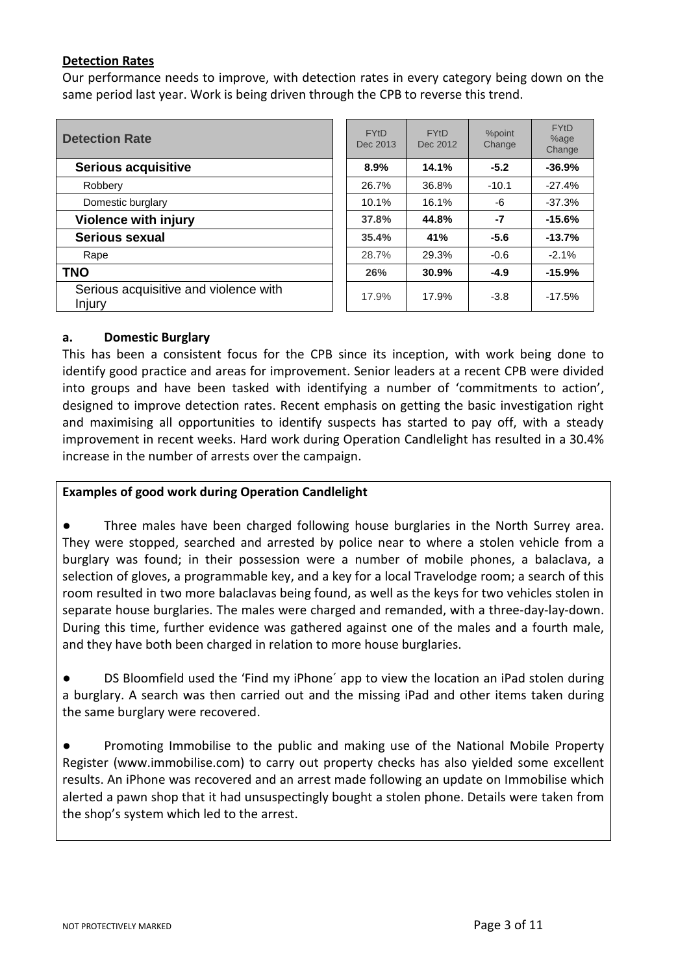## **Detection Rates**

Our performance needs to improve, with detection rates in every category being down on the same period last year. Work is being driven through the CPB to reverse this trend.

| <b>Detection Rate</b>                           | <b>FYtD</b><br>Dec 2013 | <b>FYtD</b><br>Dec 2012 | %point<br>Change | <b>FYtD</b><br>%age<br>Change |
|-------------------------------------------------|-------------------------|-------------------------|------------------|-------------------------------|
| <b>Serious acquisitive</b>                      | 8.9%                    | 14.1%                   | $-5.2$           | $-36.9%$                      |
| Robbery                                         | 26.7%                   | 36.8%                   | $-10.1$          | $-27.4%$                      |
| Domestic burglary                               | 10.1%                   | 16.1%                   | -6               | $-37.3%$                      |
| <b>Violence with injury</b>                     | 37.8%                   | 44.8%                   | $-7$             | $-15.6%$                      |
| Serious sexual                                  | 35.4%                   | 41%                     | $-5.6$           | $-13.7%$                      |
| Rape                                            | 28.7%                   | 29.3%                   | $-0.6$           | $-2.1%$                       |
| <b>TNO</b>                                      | 26%                     | 30.9%                   | $-4.9$           | $-15.9%$                      |
| Serious acquisitive and violence with<br>Injury | 17.9%                   | 17.9%                   | $-3.8$           | $-17.5%$                      |

#### **a. Domestic Burglary**

This has been a consistent focus for the CPB since its inception, with work being done to identify good practice and areas for improvement. Senior leaders at a recent CPB were divided into groups and have been tasked with identifying a number of 'commitments to action', designed to improve detection rates. Recent emphasis on getting the basic investigation right and maximising all opportunities to identify suspects has started to pay off, with a steady improvement in recent weeks. Hard work during Operation Candlelight has resulted in a 30.4% increase in the number of arrests over the campaign.

### **Examples of good work during Operation Candlelight**

**●** Three males have been charged following house burglaries in the North Surrey area. They were stopped, searched and arrested by police near to where a stolen vehicle from a burglary was found; in their possession were a number of mobile phones, a balaclava, a selection of gloves, a programmable key, and a key for a local Travelodge room; a search of this room resulted in two more balaclavas being found, as well as the keys for two vehicles stolen in separate house burglaries. The males were charged and remanded, with a three-day-lay-down. During this time, further evidence was gathered against one of the males and a fourth male, and they have both been charged in relation to more house burglaries.

DS Bloomfield used the 'Find my iPhone' app to view the location an iPad stolen during a burglary. A search was then carried out and the missing iPad and other items taken during the same burglary were recovered.

Promoting Immobilise to the public and making use of the National Mobile Property Register (www.immobilise.com) to carry out property checks has also yielded some excellent results. An iPhone was recovered and an arrest made following an update on Immobilise which alerted a pawn shop that it had unsuspectingly bought a stolen phone. Details were taken from the shop's system which led to the arrest.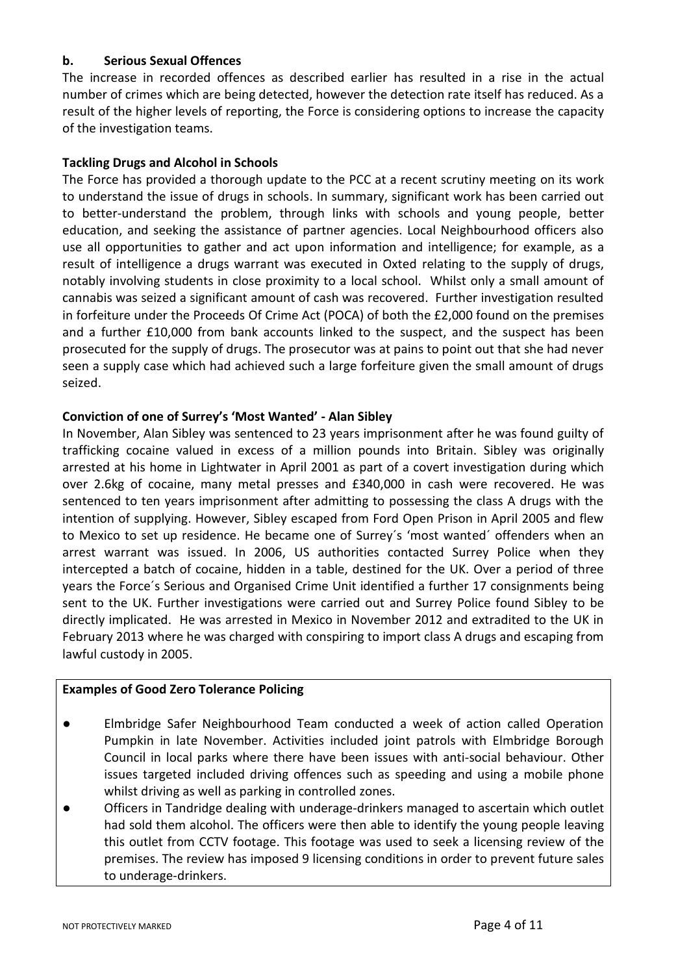## **b. Serious Sexual Offences**

The increase in recorded offences as described earlier has resulted in a rise in the actual number of crimes which are being detected, however the detection rate itself has reduced. As a result of the higher levels of reporting, the Force is considering options to increase the capacity of the investigation teams.

### **Tackling Drugs and Alcohol in Schools**

The Force has provided a thorough update to the PCC at a recent scrutiny meeting on its work to understand the issue of drugs in schools. In summary, significant work has been carried out to better-understand the problem, through links with schools and young people, better education, and seeking the assistance of partner agencies. Local Neighbourhood officers also use all opportunities to gather and act upon information and intelligence; for example, as a result of intelligence a drugs warrant was executed in Oxted relating to the supply of drugs, notably involving students in close proximity to a local school. Whilst only a small amount of cannabis was seized a significant amount of cash was recovered. Further investigation resulted in forfeiture under the Proceeds Of Crime Act (POCA) of both the £2,000 found on the premises and a further £10,000 from bank accounts linked to the suspect, and the suspect has been prosecuted for the supply of drugs. The prosecutor was at pains to point out that she had never seen a supply case which had achieved such a large forfeiture given the small amount of drugs seized.

## **Conviction of one of Surrey's 'Most Wanted' - Alan Sibley**

In November, Alan Sibley was sentenced to 23 years imprisonment after he was found guilty of trafficking cocaine valued in excess of a million pounds into Britain. Sibley was originally arrested at his home in Lightwater in April 2001 as part of a covert investigation during which over 2.6kg of cocaine, many metal presses and £340,000 in cash were recovered. He was sentenced to ten years imprisonment after admitting to possessing the class A drugs with the intention of supplying. However, Sibley escaped from Ford Open Prison in April 2005 and flew to Mexico to set up residence. He became one of Surrey´s 'most wanted´ offenders when an arrest warrant was issued. In 2006, US authorities contacted Surrey Police when they intercepted a batch of cocaine, hidden in a table, destined for the UK. Over a period of three years the Force´s Serious and Organised Crime Unit identified a further 17 consignments being sent to the UK. Further investigations were carried out and Surrey Police found Sibley to be directly implicated. He was arrested in Mexico in November 2012 and extradited to the UK in February 2013 where he was charged with conspiring to import class A drugs and escaping from lawful custody in 2005.

#### **Examples of Good Zero Tolerance Policing**

- Elmbridge Safer Neighbourhood Team conducted a week of action called Operation Pumpkin in late November. Activities included joint patrols with Elmbridge Borough Council in local parks where there have been issues with anti-social behaviour. Other issues targeted included driving offences such as speeding and using a mobile phone whilst driving as well as parking in controlled zones.
- Officers in Tandridge dealing with underage-drinkers managed to ascertain which outlet had sold them alcohol. The officers were then able to identify the young people leaving this outlet from CCTV footage. This footage was used to seek a licensing review of the premises. The review has imposed 9 licensing conditions in order to prevent future sales to underage-drinkers.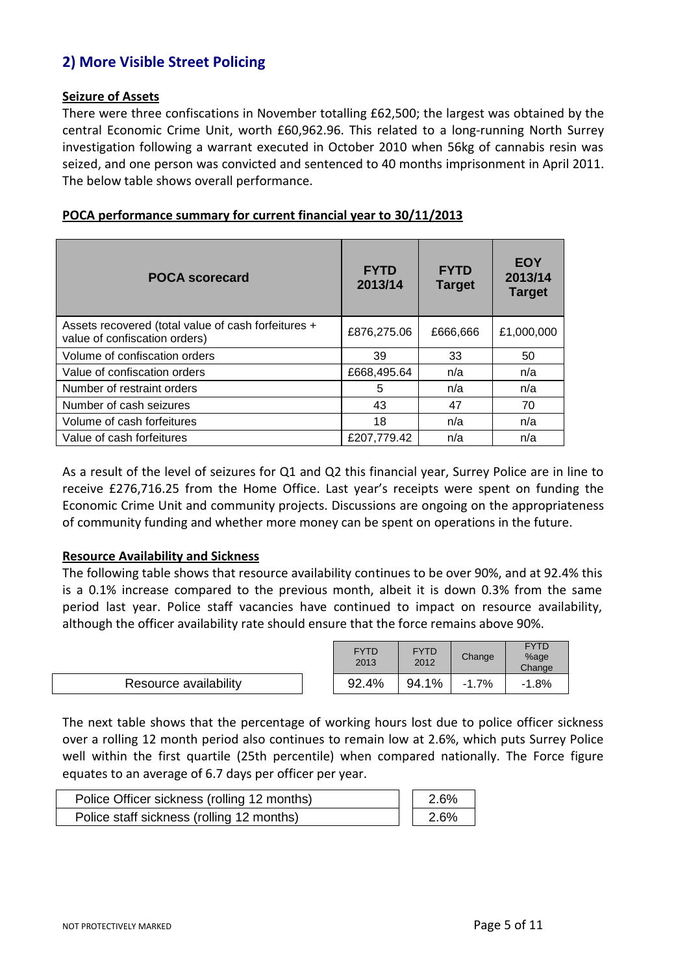# **2) More Visible Street Policing**

#### **Seizure of Assets**

There were three confiscations in November totalling £62,500; the largest was obtained by the central Economic Crime Unit, worth £60,962.96. This related to a long-running North Surrey investigation following a warrant executed in October 2010 when 56kg of cannabis resin was seized, and one person was convicted and sentenced to 40 months imprisonment in April 2011. The below table shows overall performance.

| <b>POCA scorecard</b>                                                                | <b>FYTD</b><br>2013/14 | <b>FYTD</b><br><b>Target</b> | <b>EOY</b><br>2013/14<br><b>Target</b> |
|--------------------------------------------------------------------------------------|------------------------|------------------------------|----------------------------------------|
| Assets recovered (total value of cash forfeitures +<br>value of confiscation orders) | £876,275.06            | £666,666                     | £1,000,000                             |
| Volume of confiscation orders                                                        | 39                     | 33                           | 50                                     |
| Value of confiscation orders                                                         | £668,495.64            | n/a                          | n/a                                    |
| Number of restraint orders                                                           | 5                      | n/a                          | n/a                                    |
| Number of cash seizures                                                              | 43                     | 47                           | 70                                     |
| Volume of cash forfeitures                                                           | 18                     | n/a                          | n/a                                    |
| Value of cash forfeitures                                                            | £207,779.42            | n/a                          | n/a                                    |

## **POCA performance summary for current financial year to 30/11/2013**

As a result of the level of seizures for Q1 and Q2 this financial year, Surrey Police are in line to receive £276,716.25 from the Home Office. Last year's receipts were spent on funding the Economic Crime Unit and community projects. Discussions are ongoing on the appropriateness of community funding and whether more money can be spent on operations in the future.

#### **Resource Availability and Sickness**

The following table shows that resource availability continues to be over 90%, and at 92.4% this is a 0.1% increase compared to the previous month, albeit it is down 0.3% from the same period last year. Police staff vacancies have continued to impact on resource availability, although the officer availability rate should ensure that the force remains above 90%.

|                       | <b>FYTD</b><br>2013 | <b>FYTD</b><br>2012 | Change  | <b>FYTD</b><br>%age<br>Change |
|-----------------------|---------------------|---------------------|---------|-------------------------------|
| Resource availability | 92.4%               | 94.1%               | $-1.7%$ | $-1.8%$                       |

The next table shows that the percentage of working hours lost due to police officer sickness over a rolling 12 month period also continues to remain low at 2.6%, which puts Surrey Police well within the first quartile (25th percentile) when compared nationally. The Force figure equates to an average of 6.7 days per officer per year.

| Police Officer sickness (rolling 12 months) | $\vert$ 2.6% |
|---------------------------------------------|--------------|
| Police staff sickness (rolling 12 months)   | 2.6%         |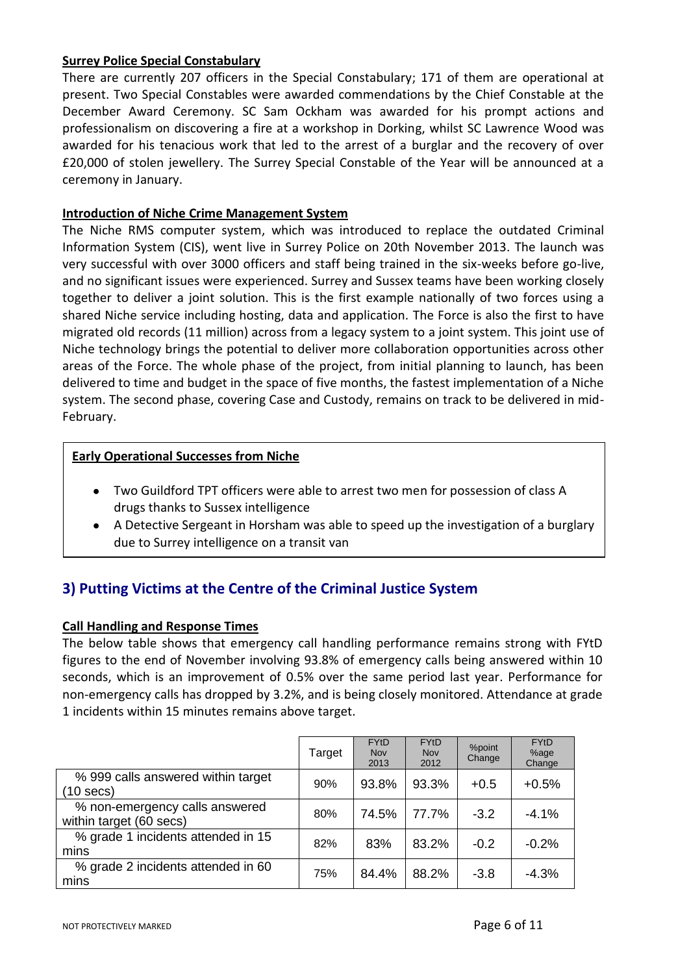## **Surrey Police Special Constabulary**

There are currently 207 officers in the Special Constabulary; 171 of them are operational at present. Two Special Constables were awarded commendations by the Chief Constable at the December Award Ceremony. SC Sam Ockham was awarded for his prompt actions and professionalism on discovering a fire at a workshop in Dorking, whilst SC Lawrence Wood was awarded for his tenacious work that led to the arrest of a burglar and the recovery of over £20,000 of stolen jewellery. The Surrey Special Constable of the Year will be announced at a ceremony in January.

## **Introduction of Niche Crime Management System**

The Niche RMS computer system, which was introduced to replace the outdated Criminal Information System (CIS), went live in Surrey Police on 20th November 2013. The launch was very successful with over 3000 officers and staff being trained in the six-weeks before go-live, and no significant issues were experienced. Surrey and Sussex teams have been working closely together to deliver a joint solution. This is the first example nationally of two forces using a shared Niche service including hosting, data and application. The Force is also the first to have migrated old records (11 million) across from a legacy system to a joint system. This joint use of Niche technology brings the potential to deliver more collaboration opportunities across other areas of the Force. The whole phase of the project, from initial planning to launch, has been delivered to time and budget in the space of five months, the fastest implementation of a Niche system. The second phase, covering Case and Custody, remains on track to be delivered in mid-February.

## **Early Operational Successes from Niche**

- Two Guildford TPT officers were able to arrest two men for possession of class A drugs thanks to Sussex intelligence
- A Detective Sergeant in Horsham was able to speed up the investigation of a burglary due to Surrey intelligence on a transit van

# **3) Putting Victims at the Centre of the Criminal Justice System**

## **Call Handling and Response Times**

The below table shows that emergency call handling performance remains strong with FYtD figures to the end of November involving 93.8% of emergency calls being answered within 10 seconds, which is an improvement of 0.5% over the same period last year. Performance for non-emergency calls has dropped by 3.2%, and is being closely monitored. Attendance at grade 1 incidents within 15 minutes remains above target.

|                                                           | Target | <b>FYtD</b><br>Nov<br>2013 | <b>FYtD</b><br><b>Nov</b><br>2012 | %point<br>Change | <b>FYtD</b><br>%age<br>Change |
|-----------------------------------------------------------|--------|----------------------------|-----------------------------------|------------------|-------------------------------|
| % 999 calls answered within target<br>(10 secs)           | 90%    | 93.8%                      | 93.3%                             | $+0.5$           | $+0.5%$                       |
| % non-emergency calls answered<br>within target (60 secs) | 80%    | 74.5%                      | 77.7%                             | $-3.2$           | $-4.1%$                       |
| % grade 1 incidents attended in 15<br>mins                | 82%    | 83%                        | 83.2%                             | $-0.2$           | $-0.2%$                       |
| % grade 2 incidents attended in 60<br>mins                | 75%    | 84.4%                      | 88.2%                             | $-3.8$           | $-4.3%$                       |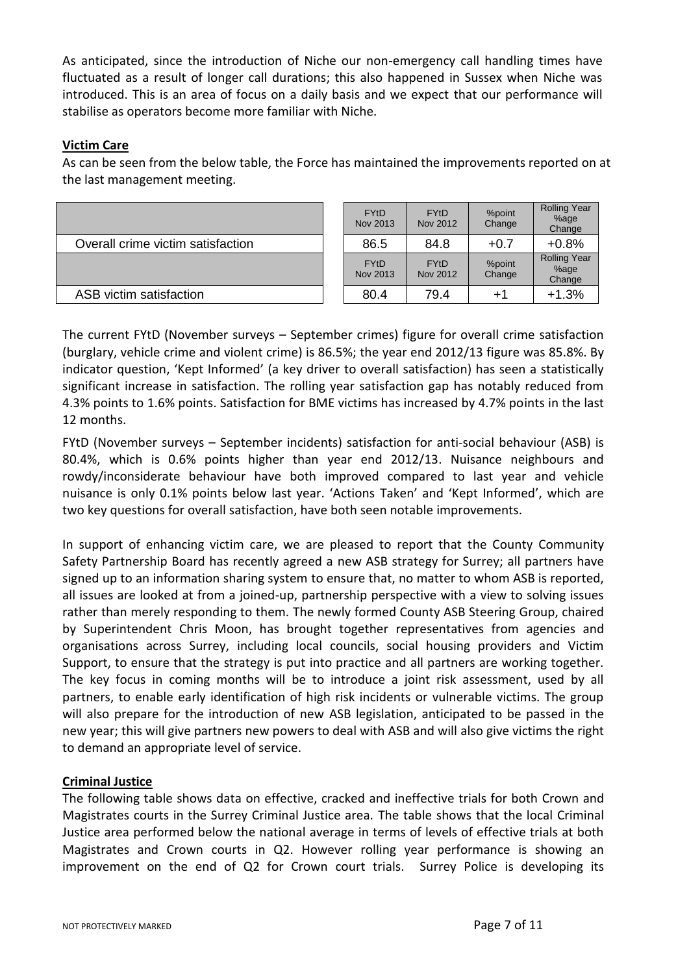As anticipated, since the introduction of Niche our non-emergency call handling times have fluctuated as a result of longer call durations; this also happened in Sussex when Niche was introduced. This is an area of focus on a daily basis and we expect that our performance will stabilise as operators become more familiar with Niche.

## **Victim Care**

As can be seen from the below table, the Force has maintained the improvements reported on at the last management meeting.

|                                   | <b>FYtD</b><br>Nov 2013 | <b>FYtD</b><br>Nov 2012 | %point<br>Change | <b>Rolling Year</b><br>%age<br>Change |
|-----------------------------------|-------------------------|-------------------------|------------------|---------------------------------------|
| Overall crime victim satisfaction | 86.5                    | 84.8                    | $+0.7$           | $+0.8%$                               |
|                                   | <b>FYtD</b><br>Nov 2013 | <b>FYtD</b><br>Nov 2012 | %point<br>Change | <b>Rolling Year</b><br>%age<br>Change |
| ASB victim satisfaction           | 80.4                    | 79.4                    |                  | $+1.3%$                               |

The current FYtD (November surveys – September crimes) figure for overall crime satisfaction (burglary, vehicle crime and violent crime) is 86.5%; the year end 2012/13 figure was 85.8%. By indicator question, 'Kept Informed' (a key driver to overall satisfaction) has seen a statistically significant increase in satisfaction. The rolling year satisfaction gap has notably reduced from 4.3% points to 1.6% points. Satisfaction for BME victims has increased by 4.7% points in the last 12 months.

FYtD (November surveys – September incidents) satisfaction for anti-social behaviour (ASB) is 80.4%, which is 0.6% points higher than year end 2012/13. Nuisance neighbours and rowdy/inconsiderate behaviour have both improved compared to last year and vehicle nuisance is only 0.1% points below last year. 'Actions Taken' and 'Kept Informed', which are two key questions for overall satisfaction, have both seen notable improvements.

In support of enhancing victim care, we are pleased to report that the County Community Safety Partnership Board has recently agreed a new ASB strategy for Surrey; all partners have signed up to an information sharing system to ensure that, no matter to whom ASB is reported, all issues are looked at from a joined-up, partnership perspective with a view to solving issues rather than merely responding to them. The newly formed County ASB Steering Group, chaired by Superintendent Chris Moon, has brought together representatives from agencies and organisations across Surrey, including local councils, social housing providers and Victim Support, to ensure that the strategy is put into practice and all partners are working together. The key focus in coming months will be to introduce a joint risk assessment, used by all partners, to enable early identification of high risk incidents or vulnerable victims. The group will also prepare for the introduction of new ASB legislation, anticipated to be passed in the new year; this will give partners new powers to deal with ASB and will also give victims the right to demand an appropriate level of service.

## **Criminal Justice**

The following table shows data on effective, cracked and ineffective trials for both Crown and Magistrates courts in the Surrey Criminal Justice area. The table shows that the local Criminal Justice area performed below the national average in terms of levels of effective trials at both Magistrates and Crown courts in Q2. However rolling year performance is showing an improvement on the end of Q2 for Crown court trials. Surrey Police is developing its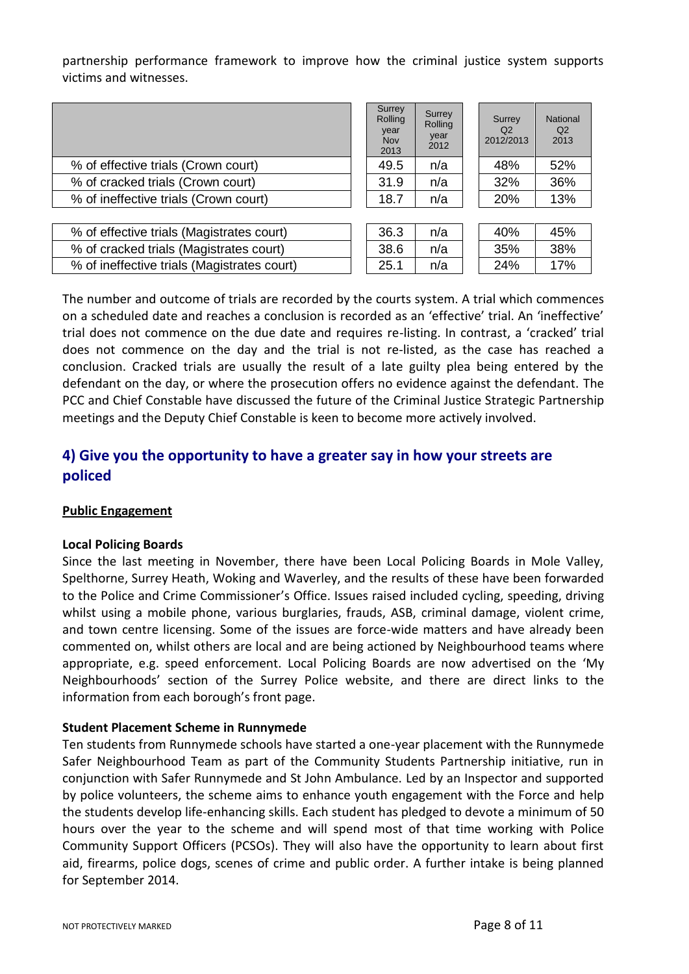partnership performance framework to improve how the criminal justice system supports victims and witnesses.

|                                             | Surrey<br>Rolling<br>year<br><b>Nov</b><br>2013 | Surrey<br>Rolling<br>year<br>2012 | Surrev<br>Q2<br>2012/2013 | National<br>Q <sub>2</sub><br>2013 |
|---------------------------------------------|-------------------------------------------------|-----------------------------------|---------------------------|------------------------------------|
| % of effective trials (Crown court)         | 49.5                                            | n/a                               | 48%                       | 52%                                |
| % of cracked trials (Crown court)           | 31.9                                            | n/a                               | 32%                       | 36%                                |
| % of ineffective trials (Crown court)       | 18.7                                            | n/a                               | 20%                       | 13%                                |
|                                             |                                                 |                                   |                           |                                    |
| % of effective trials (Magistrates court)   | 36.3                                            | n/a                               | 40%                       | 45%                                |
| % of cracked trials (Magistrates court)     | 38.6                                            | n/a                               | 35%                       | 38%                                |
| % of ineffective trials (Magistrates court) | 25.1                                            | n/a                               | 24%                       | 17%                                |

The number and outcome of trials are recorded by the courts system. A trial which commences on a scheduled date and reaches a conclusion is recorded as an 'effective' trial. An 'ineffective' trial does not commence on the due date and requires re-listing. In contrast, a 'cracked' trial does not commence on the day and the trial is not re-listed, as the case has reached a conclusion. Cracked trials are usually the result of a late guilty plea being entered by the defendant on the day, or where the prosecution offers no evidence against the defendant. The PCC and Chief Constable have discussed the future of the Criminal Justice Strategic Partnership meetings and the Deputy Chief Constable is keen to become more actively involved.

# **4) Give you the opportunity to have a greater say in how your streets are policed**

#### **Public Engagement**

#### **Local Policing Boards**

Since the last meeting in November, there have been Local Policing Boards in Mole Valley, Spelthorne, Surrey Heath, Woking and Waverley, and the results of these have been forwarded to the Police and Crime Commissioner's Office. Issues raised included cycling, speeding, driving whilst using a mobile phone, various burglaries, frauds, ASB, criminal damage, violent crime, and town centre licensing. Some of the issues are force-wide matters and have already been commented on, whilst others are local and are being actioned by Neighbourhood teams where appropriate, e.g. speed enforcement. Local Policing Boards are now advertised on the 'My Neighbourhoods' section of the Surrey Police website, and there are direct links to the information from each borough's front page.

#### **Student Placement Scheme in Runnymede**

Ten students from Runnymede schools have started a one-year placement with the Runnymede Safer Neighbourhood Team as part of the Community Students Partnership initiative, run in conjunction with Safer Runnymede and St John Ambulance. Led by an Inspector and supported by police volunteers, the scheme aims to enhance youth engagement with the Force and help the students develop life-enhancing skills. Each student has pledged to devote a minimum of 50 hours over the year to the scheme and will spend most of that time working with Police Community Support Officers (PCSOs). They will also have the opportunity to learn about first aid, firearms, police dogs, scenes of crime and public order. A further intake is being planned for September 2014.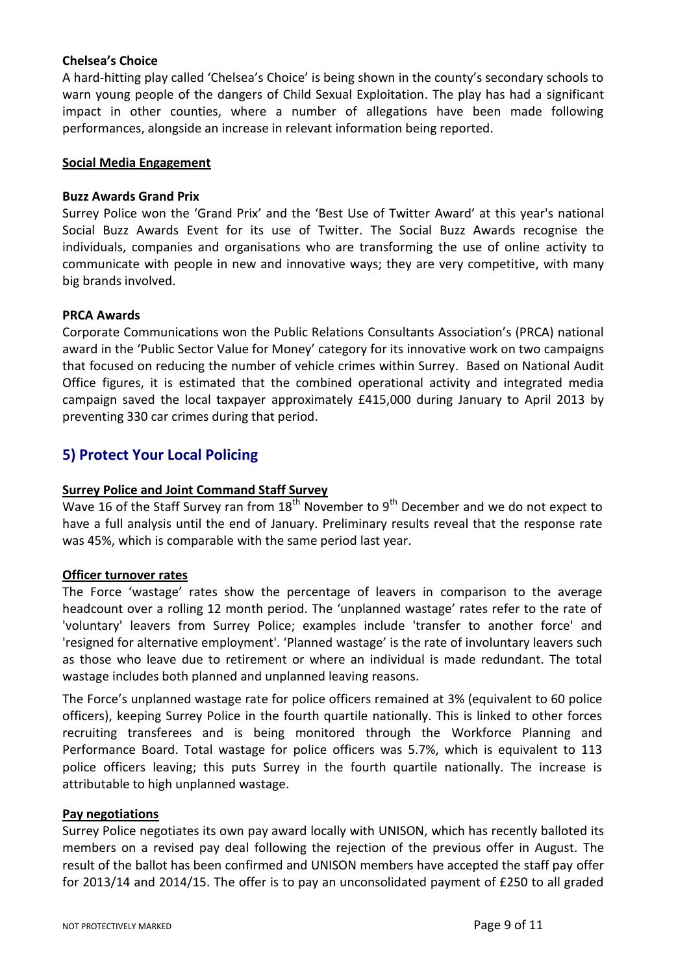### **Chelsea's Choice**

A hard-hitting play called 'Chelsea's Choice' is being shown in the county's secondary schools to warn young people of the dangers of Child Sexual Exploitation. The play has had a significant impact in other counties, where a number of allegations have been made following performances, alongside an increase in relevant information being reported.

#### **Social Media Engagement**

#### **Buzz Awards Grand Prix**

Surrey Police won the 'Grand Prix' and the 'Best Use of Twitter Award' at this year's national Social Buzz Awards Event for its use of Twitter. The Social Buzz Awards recognise the individuals, companies and organisations who are transforming the use of online activity to communicate with people in new and innovative ways; they are very competitive, with many big brands involved.

#### **PRCA Awards**

Corporate Communications won the Public Relations Consultants Association's (PRCA) national award in the 'Public Sector Value for Money' category for its innovative work on two campaigns that focused on reducing the number of vehicle crimes within Surrey. Based on National Audit Office figures, it is estimated that the combined operational activity and integrated media campaign saved the local taxpayer approximately £415,000 during January to April 2013 by preventing 330 car crimes during that period.

# **5) Protect Your Local Policing**

## **Surrey Police and Joint Command Staff Survey**

Wave 16 of the Staff Survey ran from  $18<sup>th</sup>$  November to  $9<sup>th</sup>$  December and we do not expect to have a full analysis until the end of January. Preliminary results reveal that the response rate was 45%, which is comparable with the same period last year.

#### **Officer turnover rates**

The Force 'wastage' rates show the percentage of leavers in comparison to the average headcount over a rolling 12 month period. The 'unplanned wastage' rates refer to the rate of 'voluntary' leavers from Surrey Police; examples include 'transfer to another force' and 'resigned for alternative employment'. 'Planned wastage' is the rate of involuntary leavers such as those who leave due to retirement or where an individual is made redundant. The total wastage includes both planned and unplanned leaving reasons.

The Force's unplanned wastage rate for police officers remained at 3% (equivalent to 60 police officers), keeping Surrey Police in the fourth quartile nationally. This is linked to other forces recruiting transferees and is being monitored through the Workforce Planning and Performance Board. Total wastage for police officers was 5.7%, which is equivalent to 113 police officers leaving; this puts Surrey in the fourth quartile nationally. The increase is attributable to high unplanned wastage.

#### **Pay negotiations**

Surrey Police negotiates its own pay award locally with UNISON, which has recently balloted its members on a revised pay deal following the rejection of the previous offer in August. The result of the ballot has been confirmed and UNISON members have accepted the staff pay offer for 2013/14 and 2014/15. The offer is to pay an unconsolidated payment of £250 to all graded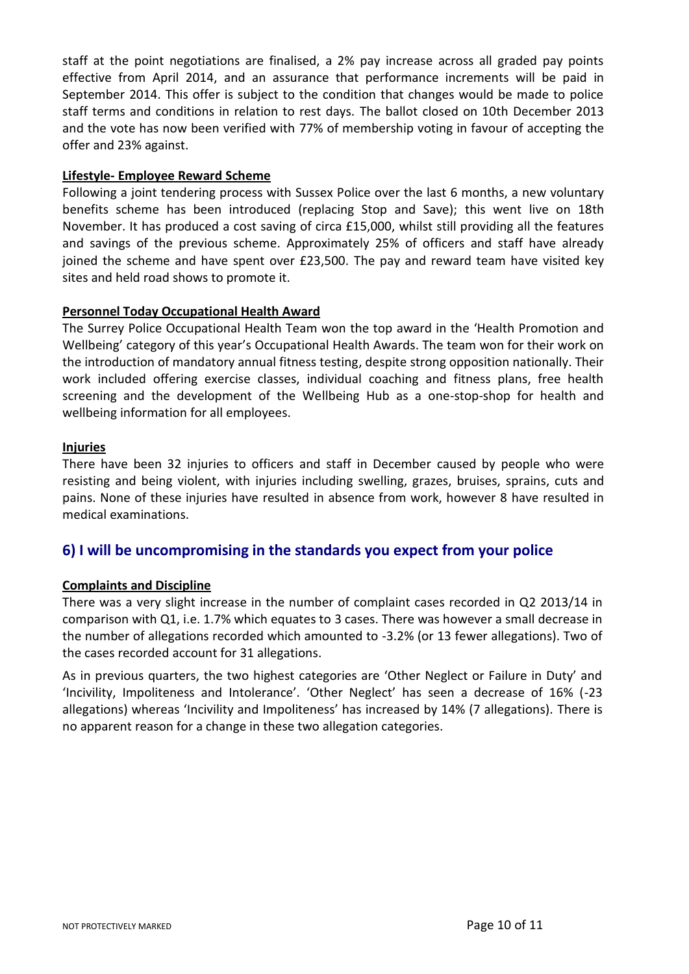staff at the point negotiations are finalised, a 2% pay increase across all graded pay points effective from April 2014, and an assurance that performance increments will be paid in September 2014. This offer is subject to the condition that changes would be made to police staff terms and conditions in relation to rest days. The ballot closed on 10th December 2013 and the vote has now been verified with 77% of membership voting in favour of accepting the offer and 23% against.

### **Lifestyle- Employee Reward Scheme**

Following a joint tendering process with Sussex Police over the last 6 months, a new voluntary benefits scheme has been introduced (replacing Stop and Save); this went live on 18th November. It has produced a cost saving of circa £15,000, whilst still providing all the features and savings of the previous scheme. Approximately 25% of officers and staff have already joined the scheme and have spent over £23,500. The pay and reward team have visited key sites and held road shows to promote it.

## **Personnel Today Occupational Health Award**

The Surrey Police Occupational Health Team won the top award in the 'Health Promotion and Wellbeing' category of this year's Occupational Health Awards. The team won for their work on the introduction of mandatory annual fitness testing, despite strong opposition nationally. Their work included offering exercise classes, individual coaching and fitness plans, free health screening and the development of the Wellbeing Hub as a one-stop-shop for health and wellbeing information for all employees.

## **Injuries**

There have been 32 injuries to officers and staff in December caused by people who were resisting and being violent, with injuries including swelling, grazes, bruises, sprains, cuts and pains. None of these injuries have resulted in absence from work, however 8 have resulted in medical examinations.

# **6) I will be uncompromising in the standards you expect from your police**

#### **Complaints and Discipline**

There was a very slight increase in the number of complaint cases recorded in Q2 2013/14 in comparison with Q1, i.e. 1.7% which equates to 3 cases. There was however a small decrease in the number of allegations recorded which amounted to -3.2% (or 13 fewer allegations). Two of the cases recorded account for 31 allegations.

As in previous quarters, the two highest categories are 'Other Neglect or Failure in Duty' and 'Incivility, Impoliteness and Intolerance'. 'Other Neglect' has seen a decrease of 16% (-23 allegations) whereas 'Incivility and Impoliteness' has increased by 14% (7 allegations). There is no apparent reason for a change in these two allegation categories.